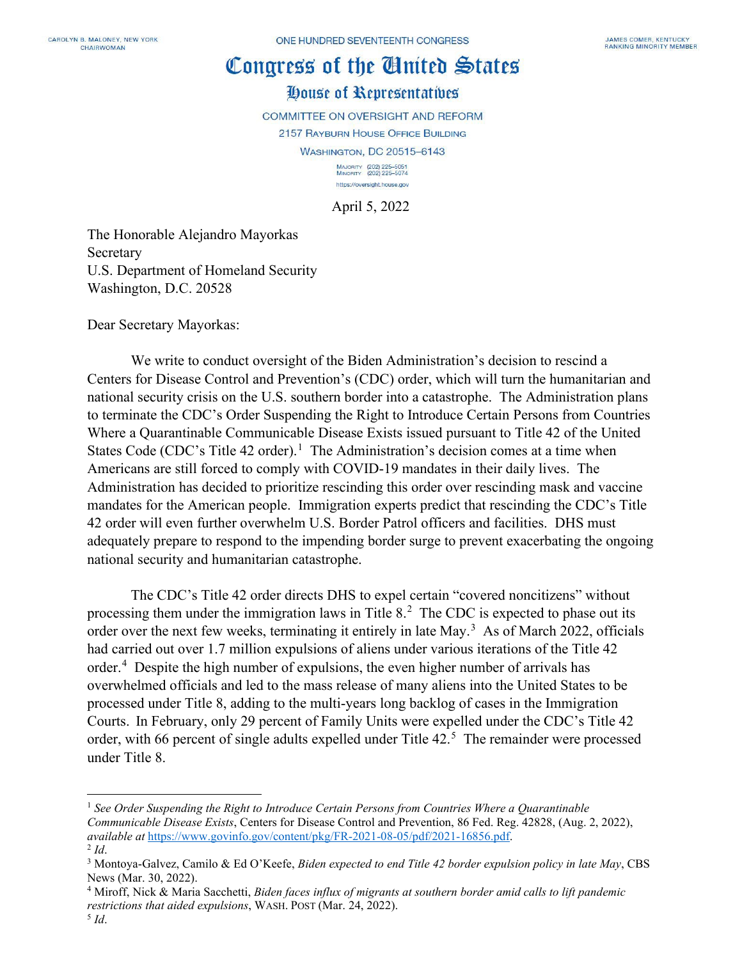## Congress of the Cinited States

## House of Representatives

COMMITTEE ON OVERSIGHT AND REFORM

2157 RAYBURN HOUSE OFFICE BUILDING

**WASHINGTON, DC 20515-6143** 

MAJORITY (202) 225-5051<br>MINORITY (202) 225-5074 https://oversight.house.gov

April 5, 2022

The Honorable Alejandro Mayorkas Secretary U.S. Department of Homeland Security Washington, D.C. 20528

Dear Secretary Mayorkas:

We write to conduct oversight of the Biden Administration's decision to rescind a Centers for Disease Control and Prevention's (CDC) order, which will turn the humanitarian and national security crisis on the U.S. southern border into a catastrophe. The Administration plans to terminate the CDC's Order Suspending the Right to Introduce Certain Persons from Countries Where a Quarantinable Communicable Disease Exists issued pursuant to Title 42 of the United States Code (CDC's Title 42 order).<sup>[1](#page-0-0)</sup> The Administration's decision comes at a time when Americans are still forced to comply with COVID-19 mandates in their daily lives. The Administration has decided to prioritize rescinding this order over rescinding mask and vaccine mandates for the American people. Immigration experts predict that rescinding the CDC's Title 42 order will even further overwhelm U.S. Border Patrol officers and facilities. DHS must adequately prepare to respond to the impending border surge to prevent exacerbating the ongoing national security and humanitarian catastrophe.

The CDC's Title 42 order directs DHS to expel certain "covered noncitizens" without processing them under the immigration laws in Title 8.<sup>[2](#page-0-1)</sup> The CDC is expected to phase out its order over the next few weeks, terminating it entirely in late May.<sup>[3](#page-0-2)</sup> As of March 2022, officials had carried out over 1.7 million expulsions of aliens under various iterations of the Title 42 order.<sup>[4](#page-0-3)</sup> Despite the high number of expulsions, the even higher number of arrivals has overwhelmed officials and led to the mass release of many aliens into the United States to be processed under Title 8, adding to the multi-years long backlog of cases in the Immigration Courts. In February, only 29 percent of Family Units were expelled under the CDC's Title 42 order, with 66 percent of single adults expelled under Title 42.<sup>[5](#page-0-4)</sup> The remainder were processed under Title 8.

<span id="page-0-0"></span><sup>1</sup> *See Order Suspending the Right to Introduce Certain Persons from Countries Where a Quarantinable Communicable Disease Exists*, Centers for Disease Control and Prevention, 86 Fed. Reg. 42828, (Aug. 2, 2022), *available at [https://www.govinfo.gov/content/pkg/FR-2021-08-05/pdf/2021-16856.pdf.](https://www.govinfo.gov/content/pkg/FR-2021-08-05/pdf/2021-16856.pdf)*<br><sup>2</sup> *Id.* 3 Montoya-Galvez, Camilo & Ed O'Keefe, *Biden expected to end Title 42 border expulsion policy in late May*, CBS

<span id="page-0-2"></span><span id="page-0-1"></span>News (Mar. 30, 2022).

<span id="page-0-3"></span><sup>4</sup> Miroff, Nick & Maria Sacchetti, *Biden faces influx of migrants at southern border amid calls to lift pandemic restrictions that aided expulsions*, WASH. POST (Mar. 24, 2022).

<span id="page-0-4"></span><sup>5</sup> *Id*.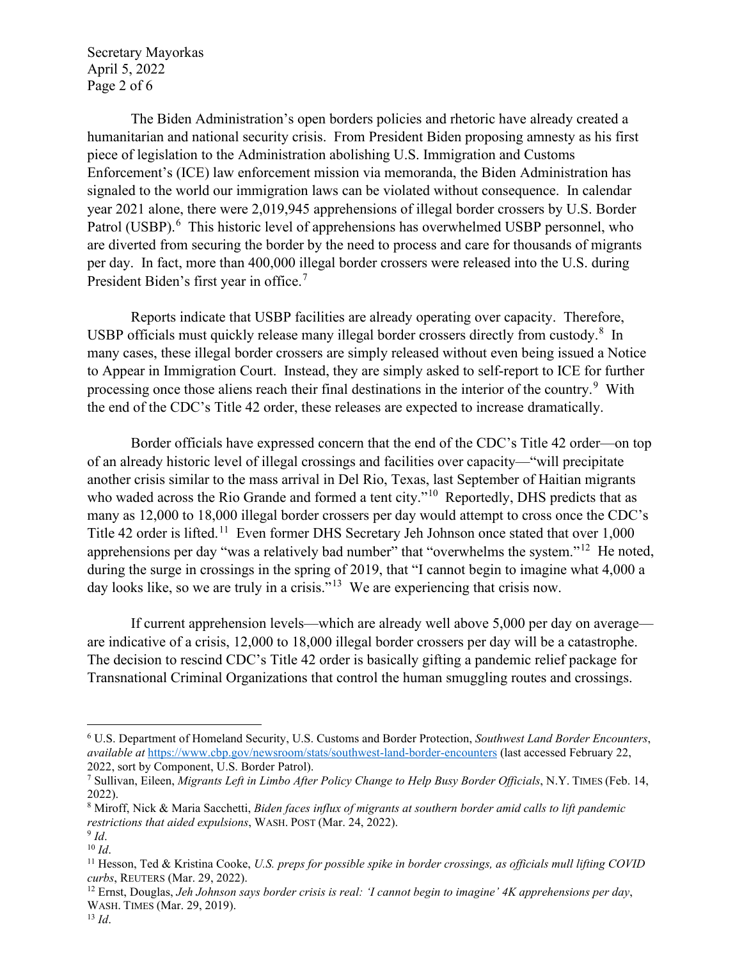Secretary Mayorkas April 5, 2022 Page 2 of 6

The Biden Administration's open borders policies and rhetoric have already created a humanitarian and national security crisis. From President Biden proposing amnesty as his first piece of legislation to the Administration abolishing U.S. Immigration and Customs Enforcement's (ICE) law enforcement mission via memoranda, the Biden Administration has signaled to the world our immigration laws can be violated without consequence. In calendar year 2021 alone, there were 2,019,945 apprehensions of illegal border crossers by U.S. Border Patrol (USBP).<sup>[6](#page-1-0)</sup> This historic level of apprehensions has overwhelmed USBP personnel, who are diverted from securing the border by the need to process and care for thousands of migrants per day. In fact, more than 400,000 illegal border crossers were released into the U.S. during President Biden's first year in office.<sup>[7](#page-1-1)</sup>

Reports indicate that USBP facilities are already operating over capacity. Therefore, USBP officials must quickly release many illegal border crossers directly from custody.<sup>[8](#page-1-2)</sup> In many cases, these illegal border crossers are simply released without even being issued a Notice to Appear in Immigration Court. Instead, they are simply asked to self-report to ICE for further processing once those aliens reach their final destinations in the interior of the country.<sup>[9](#page-1-3)</sup> With the end of the CDC's Title 42 order, these releases are expected to increase dramatically.

Border officials have expressed concern that the end of the CDC's Title 42 order—on top of an already historic level of illegal crossings and facilities over capacity—"will precipitate another crisis similar to the mass arrival in Del Rio, Texas, last September of Haitian migrants who waded across the Rio Grande and formed a tent city."<sup>10</sup> Reportedly, DHS predicts that as many as 12,000 to 18,000 illegal border crossers per day would attempt to cross once the CDC's Title 42 order is lifted.<sup>[11](#page-1-5)</sup> Even former DHS Secretary Jeh Johnson once stated that over 1,000 apprehensions per day "was a relatively bad number" that "overwhelms the system."<sup>[12](#page-1-6)</sup> He noted, during the surge in crossings in the spring of 2019, that "I cannot begin to imagine what 4,000 a day looks like, so we are truly in a crisis."<sup>[13](#page-1-7)</sup> We are experiencing that crisis now.

If current apprehension levels—which are already well above 5,000 per day on average are indicative of a crisis, 12,000 to 18,000 illegal border crossers per day will be a catastrophe. The decision to rescind CDC's Title 42 order is basically gifting a pandemic relief package for Transnational Criminal Organizations that control the human smuggling routes and crossings.

<span id="page-1-0"></span><sup>6</sup> U.S. Department of Homeland Security, U.S. Customs and Border Protection, *Southwest Land Border Encounters*, *available at* <https://www.cbp.gov/newsroom/stats/southwest-land-border-encounters> (last accessed February 22, 2022, sort by Component, U.S. Border Patrol).

<span id="page-1-1"></span><sup>7</sup> Sullivan, Eileen, *Migrants Left in Limbo After Policy Change to Help Busy Border Officials*, N.Y. TIMES (Feb. 14, 2022).

<span id="page-1-2"></span><sup>8</sup> Miroff, Nick & Maria Sacchetti, *Biden faces influx of migrants at southern border amid calls to lift pandemic* 

<span id="page-1-4"></span>

<span id="page-1-5"></span>

<span id="page-1-3"></span>*restrictions that aided expulsions*, WASH. POST (Mar. 24, 2022).<br><sup>9</sup> *Id.* 10<br><sup>10</sup> *Id.* 11 Hesson, Ted & Kristina Cooke, *U.S. preps for possible spike in border crossings, as officials mull lifting COVID curbs*, REUTE

<span id="page-1-6"></span><sup>&</sup>lt;sup>12</sup> Ernst, Douglas, *Jeh Johnson says border crisis is real: 'I cannot begin to imagine' 4K apprehensions per day*, WASH. TIMES (Mar. 29, 2019). 13 *Id*.

<span id="page-1-7"></span>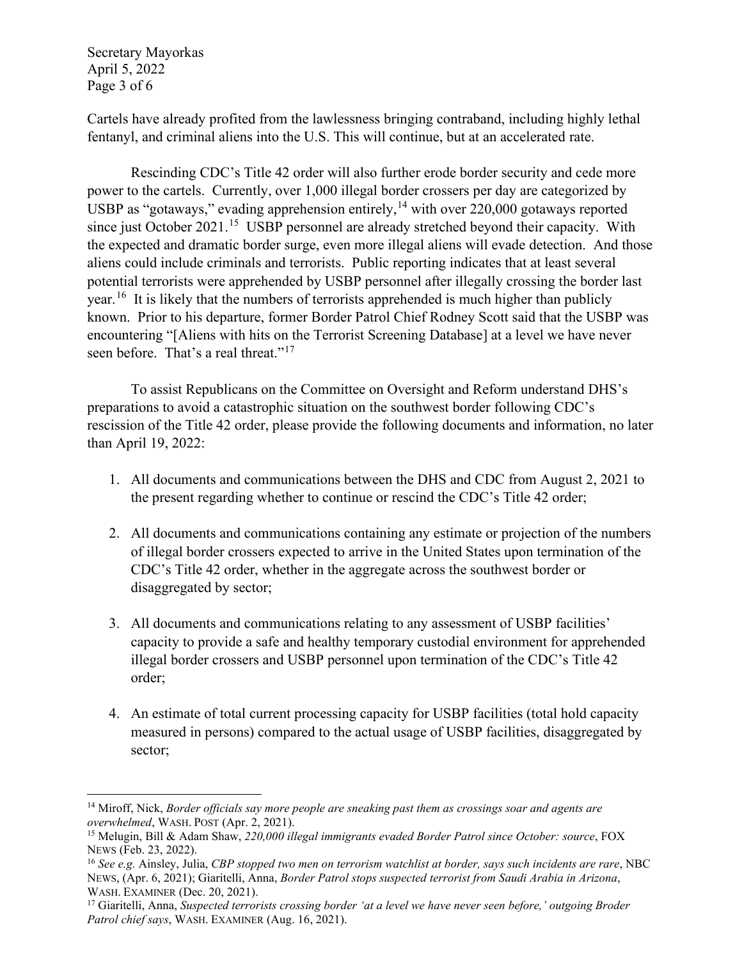Secretary Mayorkas April 5, 2022 Page 3 of 6

Cartels have already profited from the lawlessness bringing contraband, including highly lethal fentanyl, and criminal aliens into the U.S. This will continue, but at an accelerated rate.

Rescinding CDC's Title 42 order will also further erode border security and cede more power to the cartels. Currently, over 1,000 illegal border crossers per day are categorized by USBP as "gotaways," evading apprehension entirely,<sup>[14](#page-2-0)</sup> with over 220,000 gotaways reported since just October 2021.<sup>[15](#page-2-1)</sup> USBP personnel are already stretched beyond their capacity. With the expected and dramatic border surge, even more illegal aliens will evade detection. And those aliens could include criminals and terrorists. Public reporting indicates that at least several potential terrorists were apprehended by USBP personnel after illegally crossing the border last year.<sup>[16](#page-2-2)</sup> It is likely that the numbers of terrorists apprehended is much higher than publicly known. Prior to his departure, former Border Patrol Chief Rodney Scott said that the USBP was encountering "[Aliens with hits on the Terrorist Screening Database] at a level we have never seen before. That's a real threat."<sup>[17](#page-2-3)</sup>

To assist Republicans on the Committee on Oversight and Reform understand DHS's preparations to avoid a catastrophic situation on the southwest border following CDC's rescission of the Title 42 order, please provide the following documents and information, no later than April 19, 2022:

- 1. All documents and communications between the DHS and CDC from August 2, 2021 to the present regarding whether to continue or rescind the CDC's Title 42 order;
- 2. All documents and communications containing any estimate or projection of the numbers of illegal border crossers expected to arrive in the United States upon termination of the CDC's Title 42 order, whether in the aggregate across the southwest border or disaggregated by sector;
- 3. All documents and communications relating to any assessment of USBP facilities' capacity to provide a safe and healthy temporary custodial environment for apprehended illegal border crossers and USBP personnel upon termination of the CDC's Title 42 order;
- 4. An estimate of total current processing capacity for USBP facilities (total hold capacity measured in persons) compared to the actual usage of USBP facilities, disaggregated by sector;

<span id="page-2-0"></span><sup>14</sup> Miroff, Nick, *Border officials say more people are sneaking past them as crossings soar and agents are* 

<span id="page-2-1"></span>*overwhelmed*, WASH. POST (Apr. 2, 2021).<br><sup>15</sup> Melugin, Bill & Adam Shaw, *220,000 illegal immigrants evaded Border Patrol since October: source*, FOX<br>NEWS (Feb. 23, 2022).

<span id="page-2-2"></span><sup>&</sup>lt;sup>16</sup> See e.g. Ainsley, Julia, *CBP stopped two men on terrorism watchlist at border, says such incidents are rare*, NBC NEWS, (Apr. 6, 2021); Giaritelli, Anna, *Border Patrol stops suspected terrorist from Saudi Arabia in Arizona*,

<span id="page-2-3"></span><sup>&</sup>lt;sup>17</sup> Giaritelli, Anna, *Suspected terrorists crossing border 'at a level we have never seen before,' outgoing Broder Patrol chief says*, WASH. EXAMINER (Aug. 16, 2021).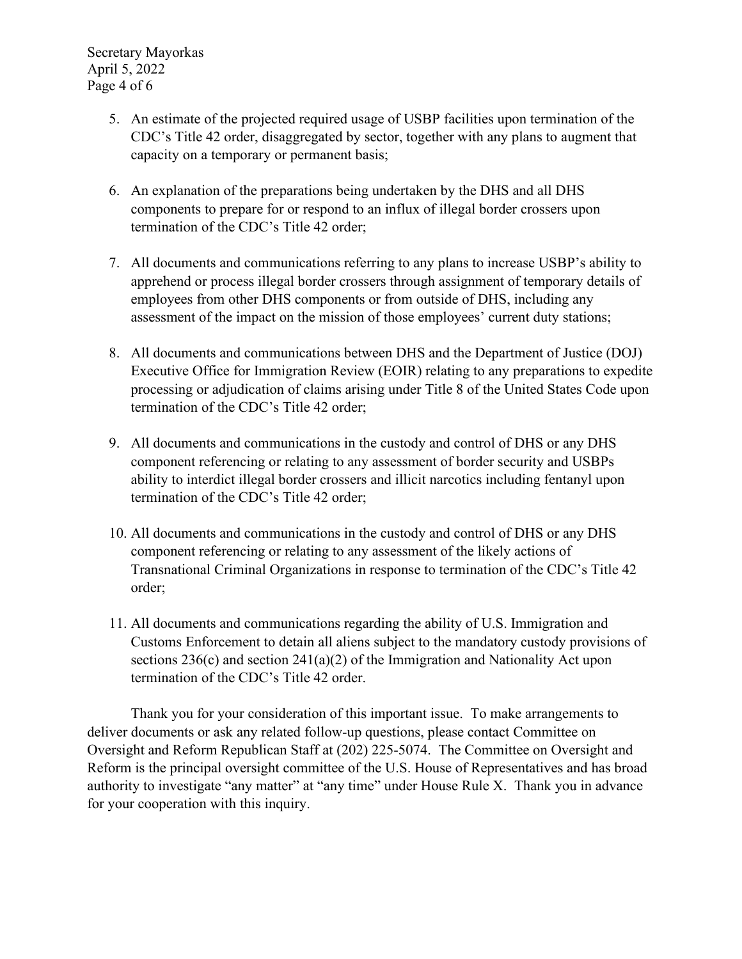Secretary Mayorkas April 5, 2022 Page 4 of 6

- 5. An estimate of the projected required usage of USBP facilities upon termination of the CDC's Title 42 order, disaggregated by sector, together with any plans to augment that capacity on a temporary or permanent basis;
- 6. An explanation of the preparations being undertaken by the DHS and all DHS components to prepare for or respond to an influx of illegal border crossers upon termination of the CDC's Title 42 order;
- 7. All documents and communications referring to any plans to increase USBP's ability to apprehend or process illegal border crossers through assignment of temporary details of employees from other DHS components or from outside of DHS, including any assessment of the impact on the mission of those employees' current duty stations;
- 8. All documents and communications between DHS and the Department of Justice (DOJ) Executive Office for Immigration Review (EOIR) relating to any preparations to expedite processing or adjudication of claims arising under Title 8 of the United States Code upon termination of the CDC's Title 42 order;
- 9. All documents and communications in the custody and control of DHS or any DHS component referencing or relating to any assessment of border security and USBPs ability to interdict illegal border crossers and illicit narcotics including fentanyl upon termination of the CDC's Title 42 order;
- 10. All documents and communications in the custody and control of DHS or any DHS component referencing or relating to any assessment of the likely actions of Transnational Criminal Organizations in response to termination of the CDC's Title 42 order;
- 11. All documents and communications regarding the ability of U.S. Immigration and Customs Enforcement to detain all aliens subject to the mandatory custody provisions of sections  $236(c)$  and section  $241(a)(2)$  of the Immigration and Nationality Act upon termination of the CDC's Title 42 order.

Thank you for your consideration of this important issue. To make arrangements to deliver documents or ask any related follow-up questions, please contact Committee on Oversight and Reform Republican Staff at (202) 225-5074. The Committee on Oversight and Reform is the principal oversight committee of the U.S. House of Representatives and has broad authority to investigate "any matter" at "any time" under House Rule X. Thank you in advance for your cooperation with this inquiry.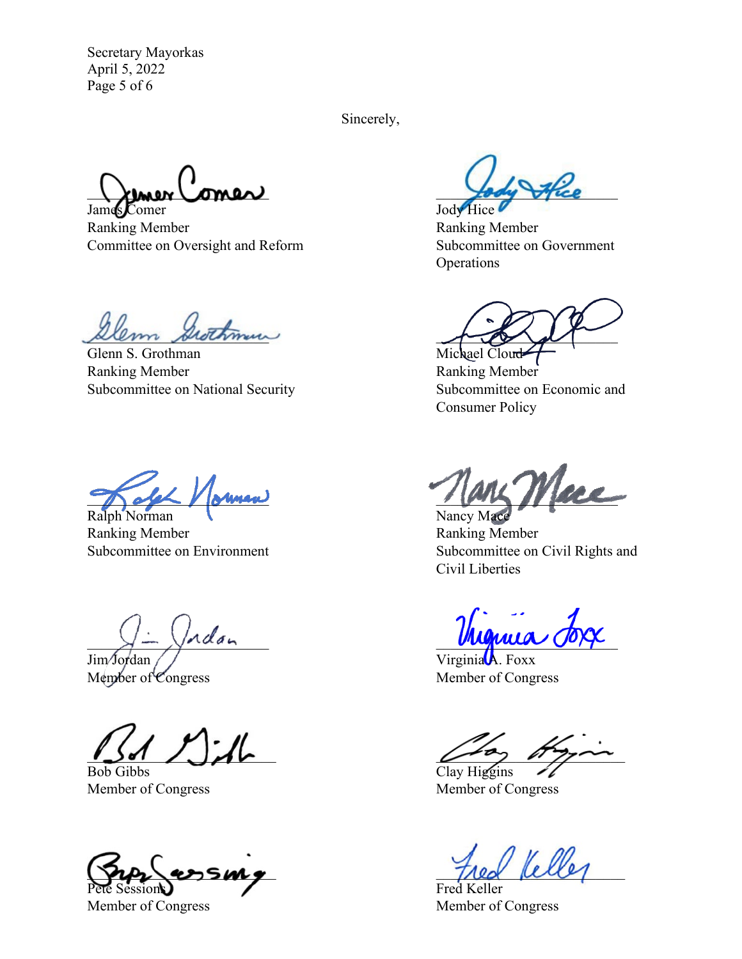Secretary Mayorkas April 5, 2022 Page 5 of 6

Sincerely,

 $\lambda$ lmer (omer) James Comer Jody Hice

Ranking Member **Ranking Member** Ranking Member Committee on Oversight and Reform Subcommittee on Government

um Swithmur

Glenn S. Grothman Michael Cloud Ranking Member Ranking Member Subcommittee on National Security Subcommittee on Economic and

Ralph Norman Nancy Mace

Ranking Member Ranking Member

Jim Jordan Virginia A. Foxx<br>
Member of Congress Member of Cong

Bob Gibbs Clay Higgins

 $\eta_{\ell}$  assumed the  $\eta_{\ell}$ Sessions Fred Keller

**Operations** 

Consumer Policy

 $\frac{1}{1000}$  or  $\frac{1}{1000}$  or  $\frac{1}{1000}$  or  $\frac{1}{1000}$ 

Subcommittee on Environment Subcommittee on Civil Rights and Civil Liberties

 $x - y$  as  $y - y$ 

Member of Congress

 $\omega$   $\omega$ 

Member of Congress Member of Congress

Member of Congress Member of Congress